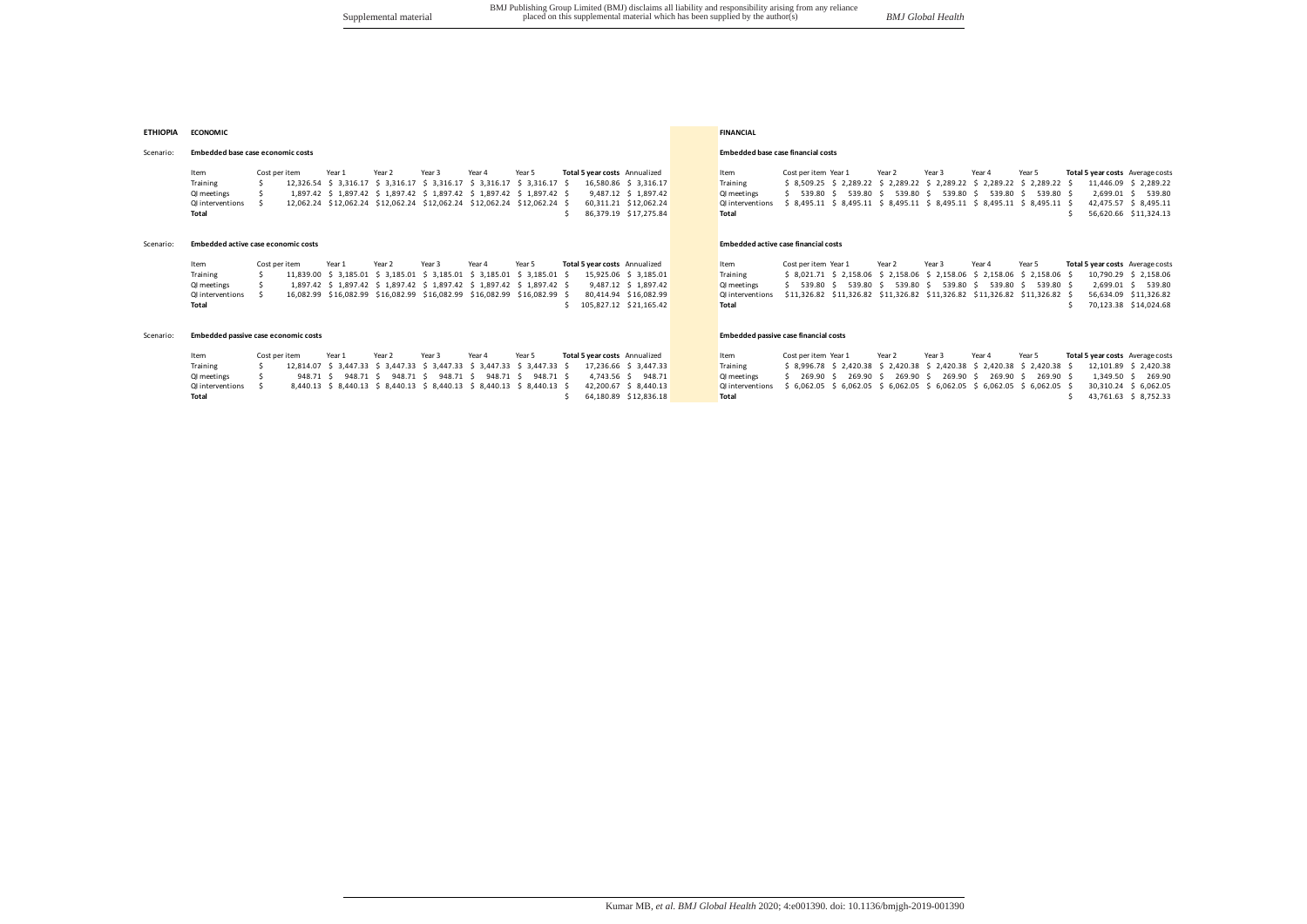# **ETHIOPIA ECONOMIC FINANCIAL**

#### Scenario: **Embedded base case economic costs Embedded base case financial costs Embedded base case financial costs**

Item Costperitem Year1 Year2 Year3 Year4 Year5 **Total5yearcosts** Annualized Item Costperitem Year1 Year2 Year3 Year4 Year5 Total**5yearcosts** Average.costs<br>Training \$ 12,326.54 \$3,316.17 \$3,316.17 \$3,316.17 \$3,316.17 \$16,58 Training \$////////////////12,326.54 \$///3,316.17 \$///3,316.17 \$///3,316.17 \$///3,316.17 \$///3,316.17 \$///////////16,580.86 \$///3,316.17 Training \$///8,509.25 \$///2,289.22 \$///2,289.22 \$///2,289.22 \$///2,289.22 \$///2,289.22 \$///////////11,446.09 \$///2,289.22 01 meetings \$ 1,897.42 \$ 1,897.42 \$ 1,897.42 \$ 1,897.42 \$ 1,897.42 \$ 1,897.42 \$ 1,897.42 \$ 1,897.42 \$ 01 meetings \$ 539.80 \$ 539.80 \$ 539.80 \$ 539.80 \$ 539.80 \$ 539.80 \$ 539.80 \$ 539.80 \$ 539.80 \$ 539.80 \$ 539.80 \$ 539.80 011 nterventions \$12,062.24 \$12,062.24 \$12,062.24 \$12,062.24 \$12,062.24 \$12,062.24 \$12,062.24 \$12,062.24 \$12,062.24 \$12,062.24 \$12,062.24 \$12,062.24 \$12,062.24 \$12,062.24 \$12,062.24 \$12,062.24 \$12,062.24 \$12,062.24 \$12,062 **Total** \$ \$6,379.19 \$17,275.84 **Total \$** \$86,379.19 \$17,275.84 **Total \$** \$6,620.66 \$11,324.13

## Scenario: **Embedded active case economic costs Embedded active case financial costs Embedded active case financial costs**

Item Costperitem Year1 Year2 Year3 Year4 Year5 **Total5yearcosts** Annualized Item Costperitem Year1 Year2 Year3 Year4 Year5 **Total5yearcosts** Average.costs<br>Training \$ 11.839.00 \$ 3.185.01 \$ 3.185.01 \$ 3.185.01 \$ 3.185.01 \$ Training<br>
S 11,839.00 \$ 3,185.01 \$ 3,185.01 \$ 3,185.01 \$ 3,185.01 \$ 3,185.01 \$ 3,185.01 \$ 3,185.01 Training<br>
QI meetings \$ 1,897.42 \$ 1,897.42 \$ 1,897.42 \$ 1,897.42 \$ 1,897.42 \$ 1,897.42 \$ 1,897.42 \$ 1,897.42 \$ 1,897.42 QI/meetings \$///////////////////1,897.42 \$///1,897.42 \$///1,897.42 \$///1,897.42 \$///1,897.42 \$///1,897.42 \$//////////////9,487.12 \$///1,897.42 QI/meetings \$////////539.80 \$////////539.80 \$////////539.80 \$////////539.80 \$////////539.80 \$////////539.80 \$//////////////2,699.01 \$////////539.80 01/interventions \$ 16,082.99 \$16,082.99 \$16,082.99 \$16,082.99 \$16,082.99 \$ 16,082.99 \$ 16,082.99 \$ 16,082.99 \$ 26,082.99 \$ 16,082.99 \$ 16,082.99 \$ 16,082.99 \$ 16,082.99 \$ 16,082.99 \$ 16,082.99 \$ 16,082.99 \$ 16,082.99 \$ 10, **Total** \$ \$105,827.12 \$21,165.42 **Total \$** \$105,827.12 \$21,165.42 **Total** \$ \$14,024.68

## Scenario: **Embedded passive case economic costs Embedded passive case financial costs Embedded passive case financial costs**

| Item             | Cost per item | Year 1 | Year 2 | Year 3 | Year 4 | Year 5                                                                  | <b>Total 5 year costs</b> Annualized                                                           | Item                                                                                       | Cost per item Year 1 | Year 2 | Year 3 | Year 4 | Year 5                                                         | Total 5 year costs Average costs                                                                 |
|------------------|---------------|--------|--------|--------|--------|-------------------------------------------------------------------------|------------------------------------------------------------------------------------------------|--------------------------------------------------------------------------------------------|----------------------|--------|--------|--------|----------------------------------------------------------------|--------------------------------------------------------------------------------------------------|
| Training         |               |        |        |        |        |                                                                         | 12,814.07 \$ 3,447.33 \$ 3,447.33 \$ 3,447.33 \$ 3,447.33 \$ 3,447.33 \$ 17,236.66 \$ 3,447.33 | Training                                                                                   |                      |        |        |        |                                                                | \$ 8,996.78 \$ 2,420.38 \$ 2,420.38 \$ 2,420.38 \$ 2,420.38 \$ 2,420.38 \$ 12,101.89 \$ 2,420.38 |
| QI meetings      |               |        |        |        |        | 948.71 \$ 948.71 \$ 948.71 \$ 948.71 \$ 948.71 \$ 948.71 \$             | 4.743.56 \$ 948.71                                                                             | <b>QI</b> meetings                                                                         |                      |        |        |        | \$ 269.90 \$ 269.90 \$ 269.90 \$ 269.90 \$ 269.90 \$ 269.90 \$ | 1.349.50 \$ 269.90                                                                               |
| QI interventions |               |        |        |        |        | 8,440.13 \$ 8,440.13 \$ 8,440.13 \$ 8,440.13 \$ 8,440.13 \$ 8,440.13 \$ | 42.200.67 \$ 8.440.13                                                                          | Qlinterventions \$ 6,062.05 \$ 6,062.05 \$ 6,062.05 \$ 6,062.05 \$ 6,062.05 \$ 6,062.05 \$ |                      |        |        |        |                                                                | 30.310.24 \$ 6.062.05                                                                            |
| Total            |               |        |        |        |        |                                                                         | 64.180.89 \$12.836.18                                                                          | <b>Total</b>                                                                               |                      |        |        |        |                                                                | 43.761.63 \$ 8.752.33                                                                            |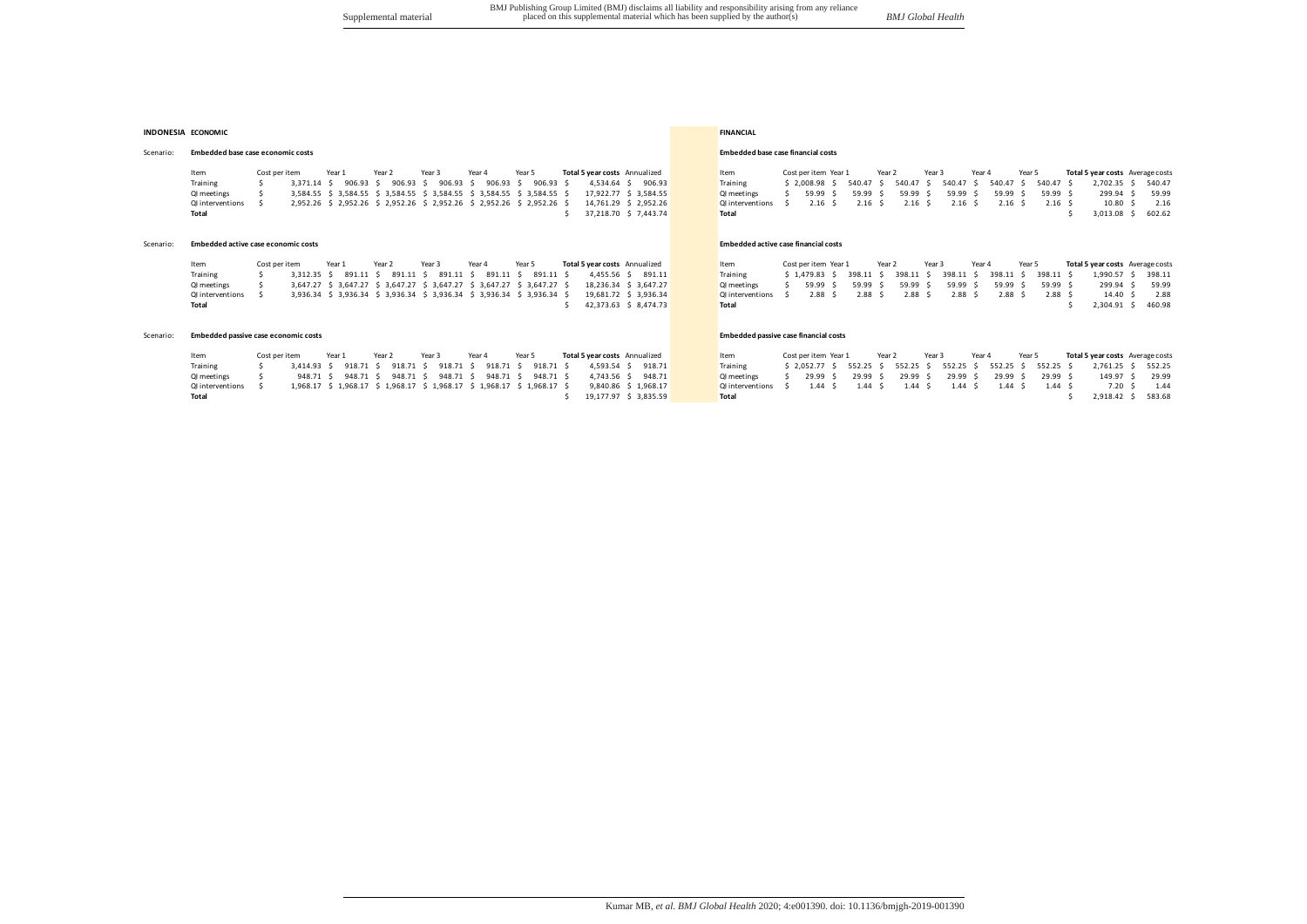#### **INDONESIA ECONOMIC FINANCIAL**

# Scenario: **Embedded base case economic costs Embedded** base case financial costs

|           | Item<br>Training<br>QI meetings<br>QI interventions<br>Total | Cost per item       | 3.371.14 \$ | Year 1<br>906.93 \$ | Year 2<br>906.93 | Year 3<br>906.93<br>3,584.55 \$ 3,584.55 \$ 3,584.55 \$ 3,584.55 \$ 3,584.55 \$ 3,584.55 \$<br>2,952.26 \$ 2,952.26 \$ 2,952.26 \$ 2,952.26 \$ 2,952.26 \$ 2,952.26 \$                        | Year 4<br>906.93 | Year 5<br>906.93 \$           |  |  | Total 5 year costs Annualized<br>4.534.64 \$ 906.93<br>17.922.77 \$ 3.584.55<br>14.761.29 \$ 2.952.26<br>37.218.70 \$ 7.443.74 |  | Item<br>Training<br>QI meetings<br><b>Ql</b> interventions<br><b>Total</b> | Cost per item Year 1<br>\$2.008.98\$<br>59.99<br>2.16 <sub>5</sub> | 540.47<br>59.99<br>2.16 | Year 2 | 540.47<br>59.99<br>2.16              | Year 3<br>540.47 | Year 4<br>59.99<br>2.16           | 540.47<br>59.99<br>2.16 <sup>5</sup>    | Year 5 | 540.47 \$<br>$59.99$ \$<br>$2.16$ \$       | Total 5 year costs Average costs<br>2,702.35 \$<br>299.94 \$<br>10.80<br>3,013.08               | 540.47<br>59.99<br>2.16<br>602.62 |
|-----------|--------------------------------------------------------------|---------------------|-------------|---------------------|------------------|-----------------------------------------------------------------------------------------------------------------------------------------------------------------------------------------------|------------------|-------------------------------|--|--|--------------------------------------------------------------------------------------------------------------------------------|--|----------------------------------------------------------------------------|--------------------------------------------------------------------|-------------------------|--------|--------------------------------------|------------------|-----------------------------------|-----------------------------------------|--------|--------------------------------------------|-------------------------------------------------------------------------------------------------|-----------------------------------|
| Scenario: | Embedded active case economic costs                          |                     |             |                     |                  |                                                                                                                                                                                               |                  |                               |  |  |                                                                                                                                |  | <b>Embedded active case financial costs</b>                                |                                                                    |                         |        |                                      |                  |                                   |                                         |        |                                            |                                                                                                 |                                   |
|           | Item<br>Training<br>OI meetings<br>QI interventions<br>Total | Cost per item<br>-5 | 3.312.35 \$ | Year 1              | Year 2           | Year 3<br>891.11 \$ 891.11 \$ 891.11 \$<br>3.647.27 \$ 3.647.27 \$ 3.647.27 \$ 3.647.27 \$ 3.647.27 \$ 3.647.27 \$<br>3,936.34 \$ 3,936.34 \$ 3,936.34 \$ 3,936.34 \$ 3,936.34 \$ 3,936.34 \$ | Year 4           | Year 5<br>891.11 \$ 891.11 \$ |  |  | Total 5 year costs Annualized<br>4.455.56 \$ 891.11<br>18.236.34 \$ 3.647.27<br>19.681.72 \$ 3.936.34<br>42.373.63 \$ 8.474.73 |  | Item<br>Training<br>OI meetings<br><b>Ql</b> interventions<br><b>Total</b> | Cost per item Year 1<br>\$1.479.83\$<br>59.99S<br>2.88S            | 398.11<br>59.99<br>2.88 | Year 2 | 398.11<br>59.99<br>2.88 <sup>5</sup> | Year 3           | Year 4<br>398.11<br>59.99<br>2.88 | 398.11 \$<br>59.99<br>2.88 <sup>5</sup> | Year 5 | 398.11 \$<br>59.99 \$<br>2.88 <sup>5</sup> | Total 5 year costs Average costs<br>1,990.57 \$<br>299.94 \$<br>$14.40 \text{ }$<br>2,304.91 \$ | 398.11<br>59.99<br>2.88<br>460.98 |

# Scenario: **Embedded passive case economic costs Embedded** passive case financial costs

| Item             | Cost per item |                                                                         | Year 1                                                      | Year 2 | Year 3 | Year 4 | Year 5 |  | Total 5 year costs Annualized |                       | Item               | Cost per item Year 1 | Year 2                                                                      | Year 3 | Year 4 | Year 5         |                    | Total 5 year costs Average costs |              |
|------------------|---------------|-------------------------------------------------------------------------|-------------------------------------------------------------|--------|--------|--------|--------|--|-------------------------------|-----------------------|--------------------|----------------------|-----------------------------------------------------------------------------|--------|--------|----------------|--------------------|----------------------------------|--------------|
| Training         |               | 3,414.93 \$ 918.71 \$ 918.71 \$ 918.71 \$ 918.71 \$ 918.71 \$           |                                                             |        |        |        |        |  |                               | 4.593.54 \$ 918.71    | Training           |                      | \$2,052.77 \$552.25 \$552.25 \$552.25 \$552.25 \$552.25 \$2,761.25 \$552.25 |        |        |                |                    |                                  |              |
| QI meetings      |               |                                                                         | 948.71 \$ 948.71 \$ 948.71 \$ 948.71 \$ 948.71 \$ 948.71 \$ |        |        |        |        |  |                               | 4.743.56 \$ 948.71    | <b>QI</b> meetings |                      | 29.99 \$ 29.99 \$ 29.99 \$ 29.99 \$                                         |        |        | 29.99 \$       | 29.99 S            | 149.97 \$ 29.99                  |              |
| OI interventions |               | 1,968.17 \$ 1,968.17 \$ 1,968.17 \$ 1,968.17 \$ 1,968.17 \$ 1,968.17 \$ |                                                             |        |        |        |        |  |                               | 9.840.86 \$ 1.968.17  | Qlinterventions \$ |                      | 1.44 \$ 1.44 \$ 1.44 \$ 1.44 \$                                             |        |        | $1.44 \quad S$ | $1.44 \text{ }$ \$ |                                  | 7.20 \$ 1.44 |
| Total            |               |                                                                         |                                                             |        |        |        |        |  |                               | 19.177.97 \$ 3.835.59 | Total              |                      |                                                                             |        |        |                |                    | 2.918.42 \$ 583.68               |              |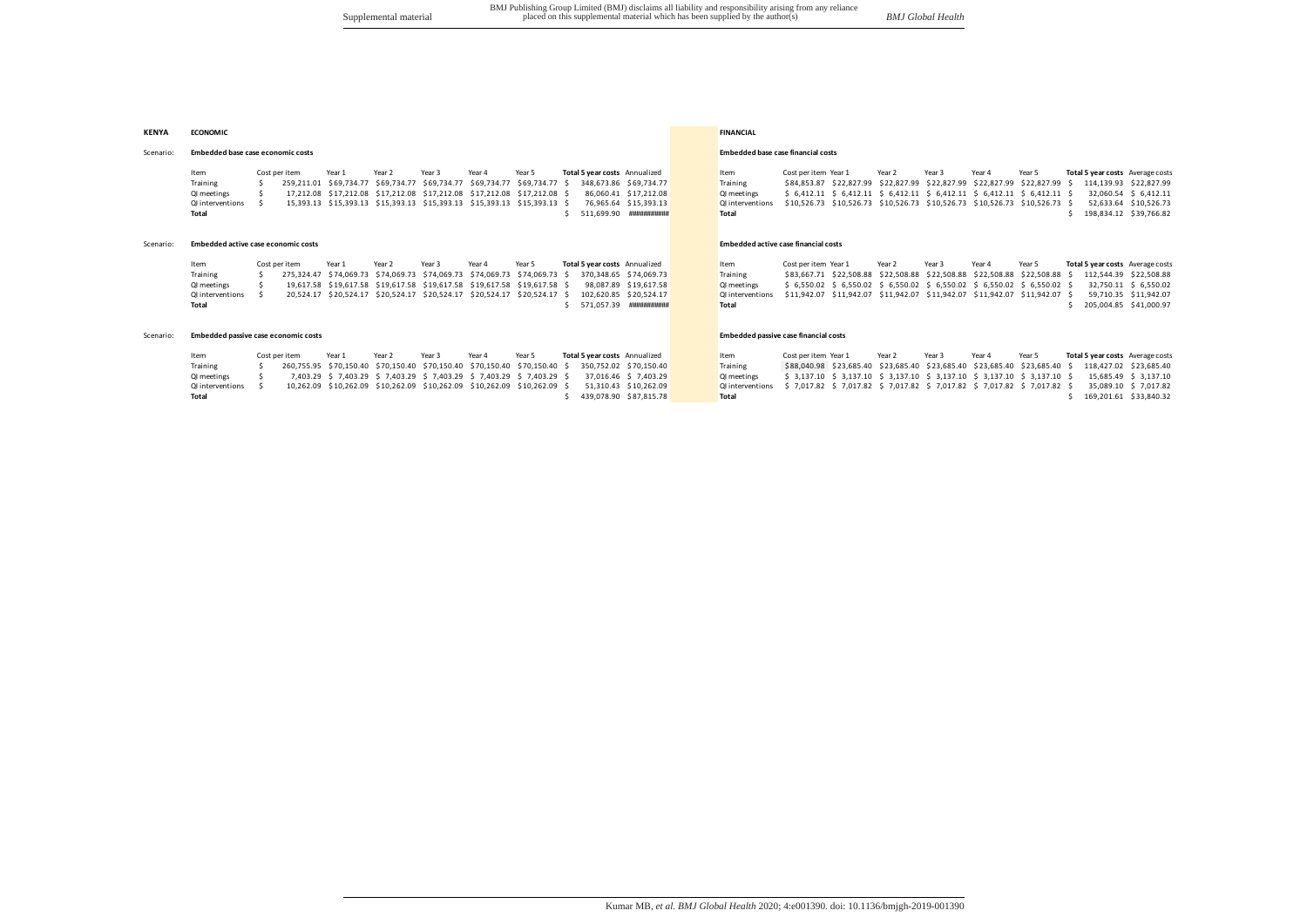#### **KENYA ECONOMIC FINANCIAL**

#### Scenario: **Embedded base case economic costs Embedded base case financial costs Embedded base case financial costs**

ltem Costperitem Year1 Year2 Year3 Year4 Year5 **Total5yearcosts**Annualized Ltem CostperitemYear1 Year2 Year3 Year4 Year5 **Total5yearcosts**Averagecosts<br>Training \$ 259,211.01 \$69,734.77 \$69,734.77 \$69,734.77 \$ 348,673.86 \$69 01 meetings \$ 17,212.08 \$17,212.08 \$17,212.08 \$17,212.08 \$17,212.08 \$ 17,212.08 \$ 66,060.41 \$ 6,412.10 \$ 6,412.11 \$ 6,412.11 \$ 6,412.11 \$ 6,412.11 \$ 6,412.11 \$ 6,412.11 \$ 6,412.11 \$ 6,412.11 \$ 6,412.11 \$ 6,412.11 \$ 6,412.1 011 nterventions \$15,393.13 \$15,393.13 \$15,393.13 \$15,393.13 \$15,393.13 \$15,393.13 76,965.64 \$15,393.13 011 nterventions \$10,526.73 \$10,526.73 \$10,526.73 \$10,526.73 \$10,526.73 \$10,526.73 \$10,526.73 \$10,526.73 \$10,526.73 \$1 **Total** \$////////511,699.90 ########### **Total** \$////////198,834.12 \$ 39,766.82

#### Scenario: **Embedded active case economic costs Embedded active case financial costs Embedded active case financial costs**

Item Costperitem Year1 Year2 Year3 Year4 Year5 **Total5yearcosts** Annualized Item Costperitem Year1 Year2 Year3 Year4 Year5 Total**5yearcosts** Average.costs<br>Training \$ 275.324.47 \$74.069.73 \$74.069.73 \$74.069.73 \$ 370.348.65 Training \$/////////////275,324.47 \$ 74,069.73 \$ 74,069.73 \$ 74,069.73 \$ 74,069.73 \$ 74,069.73 \$////////370,348.65 \$ 74,069.73 Training \$ 83,667.71 \$ 22,508.88 \$ 22,508.88 \$ 22,508.88 \$ 22,508.88 \$ 22,508.88 \$////////112,544.39 \$ 22,508.88 11,031.8 (19,000.00 11,034.39 11,04.39 11,03.00 11,03.00 11,03.00 11,03.00 11,03.00 11,03.00 11,03.00 11,03.00 11,03.00 11,03.00 11,03.00 11,03.00 11,03.00 11,03.00 11,03.00 11,03.00 11,03.00 11,03.00 11,03.00 11,03.00 11 QI/interventions \$////////////////20,524.17 \$ 20,524.17 \$ 20,524.17 \$ 20,524.17 \$ 20,524.17 \$ 20,524.17 \$////////102,620.85 \$ 20,524.17 QI/interventions \$ 11,942.07 \$ 11,942.07 \$ 11,942.07 \$ 11,942.07 \$ 11,942.07 \$ 11,942.07 \$///////////59,710.35 \$ 11,942.07 **Total** \$////////571,057.39 ########### **Total** \$////////205,004.85 \$ 41,000.97

#### Scenario: **Embedded passive case economic costs Embedded passive case financial costs Embedded passive case financial costs**

| Item             | Cost per item | Year 1 | Year 2 | Year 3 | Year 4 | Year 5                                                                                           | Total 5 year costs Annualized |                        | Item                                                                                       | Cost per item Year 1                                                                              | Year 2 | Year 3 | Year 4 | Year 5 |  | Total 5 year costs Average costs |
|------------------|---------------|--------|--------|--------|--------|--------------------------------------------------------------------------------------------------|-------------------------------|------------------------|--------------------------------------------------------------------------------------------|---------------------------------------------------------------------------------------------------|--------|--------|--------|--------|--|----------------------------------|
| Training         |               |        |        |        |        | 260,755.95 \$70,150.40 \$70,150.40 \$70,150.40 \$70,150.40 \$70,150.40 \$ 350,752.02 \$70,150.40 |                               |                        | Training                                                                                   | \$88,040.98 \$23,685.40 \$23,685.40 \$23,685.40 \$23,685.40 \$23,685.40 \$ 118,427.02 \$23,685.40 |        |        |        |        |  |                                  |
| QI meetings      |               |        |        |        |        | 7,403.29 \$ 7,403.29 \$ 7,403.29 \$ 7,403.29 \$ 7,403.29 \$ 7,403.29 \$                          |                               | 37.016.46 \$ 7.403.29  | <b>QI</b> meetings                                                                         | \$ 3,137.10 \$ 3,137.10 \$ 3,137.10 \$ 3,137.10 \$ 3,137.10 \$ 3,137.10 \$                        |        |        |        |        |  | 15.685.49 \$ 3.137.10            |
| QI interventions |               |        |        |        |        | 10,262.09 \$10,262.09 \$10,262.09 \$10,262.09 \$10,262.09 \$10,262.09 \$                         |                               | 51.310.43 \$10.262.09  | Qlinterventions \$ 7,017.82 \$ 7,017.82 \$ 7,017.82 \$ 7,017.82 \$ 7,017.82 \$ 7,017.82 \$ |                                                                                                   |        |        |        |        |  | 35.089.10 \$ 7.017.82            |
| Total            |               |        |        |        |        |                                                                                                  |                               | 439.078.90 \$87.815.78 | <b>Total</b>                                                                               |                                                                                                   |        |        |        |        |  | 169.201.61 \$33.840.32           |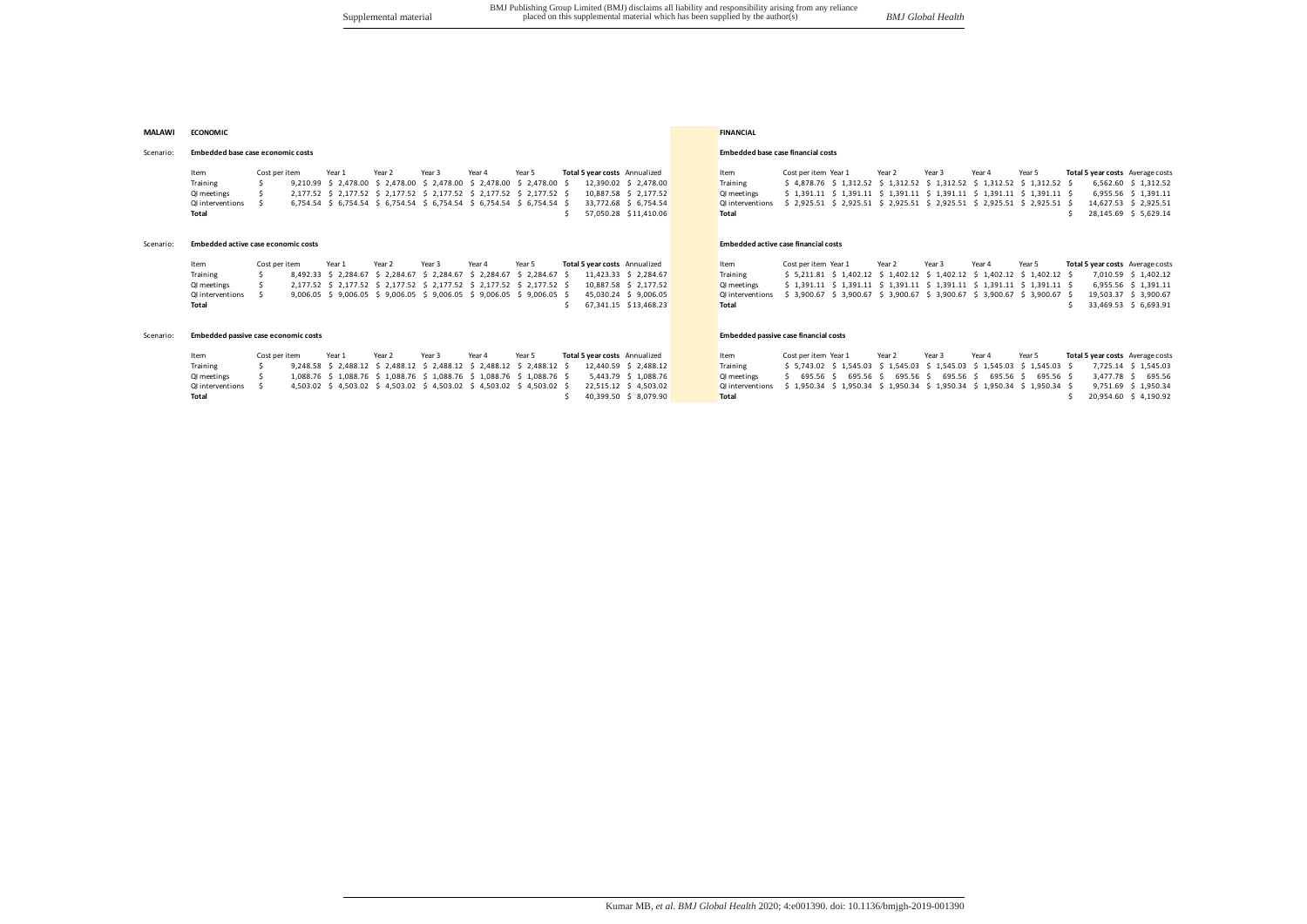## **MALAWI ECONOMIC FINANCIAL**

#### Scenario: **Embedded base case economic costs Embedded base case financial costs Embedded base case financial costs**

#### Item Costperitem Year1 Year2 Year3 Year4 Year5 **Total5-year-costs** Annualized Item Cost-peritem Year1 Year2 Year3 Year4 Year5 **Total5-year-costs** Average-costs<br>Training \$ 9,210.99 \$ 2,478.00 \$ 2,478.00 \$ 2,478.00 \$ 2,478.0 Training<br>
Training 5 9,210.99 \$ 2,478.00 \$ 2,478.00 \$ 2,478.00 \$ 2,478.00 \$ 2,390.02 \$ 2,478.00<br>
QI meetings \$ 2,177.52 \$ 2,177.52 \$ 2,177.52 \$ 2,177.52 \$ 2,177.52 \$ 2,177.52 \$ 2,177.52 \$ 2,177.52 \$ 2,177.52 01 meetings \$ 2,177.52 \$ 2,177.52 \$ 2,177.52 \$ 2,177.52 \$ 2,177.52 \$ 10,887.58 \$ 2,177.52 01 meetings \$ 1,391.11 \$ 1,391.11 \$ 1,391.11 \$ 1,391.11 \$ 1,391.11 \$ 1,391.11 \$ 1,391.11 \$ 1,391.11 \$ 1,391.11 \$ 1,391.11 \$ 1,391.11 011 model of the contractions 5 6,754.54 \$ 6,754.54 \$ 6,754.54 \$ 6,754.54 \$ 6,754.54 \$ 6,754.54 \$ 6,754.54 \$ 6,754.54 \$ 6,754.54 \$ 6,754.54 \$ 6,754.54 \$ 6,754.54 \$ 6,754.54 \$ 6,754.54 \$ 6,754.54 \$ 6,754.54 \$ 6,754.54 \$ 6,7 **Total** \$ \$1,45.69 \$ \$1,410.06 **Total \$** \$1,410.06 **Total \$1,410.06 \$1,410.06 \$1,45.69 \$** \$1,45.69 \$ \$1,429.14

#### Scenario: **Embedded active case economic costs Embedded active case financial costs Embedded active case financial costs**

Item Costperitem Year1 Year2 Year3 Year4 Year5 **Total5-year-costs** Annualized Item Cost-peritem Year1 Year2 Year3 Year4 Year5 **Total5-year-costs** Average-costs<br>Training \$ 8.492.33 \$ 2.284.67 \$ 2.284.67 \$ 2.284.67 \$ 11.423. Training<br>Training 5 8,492.33 \$ 2,284.67 \$ 2,284.67 \$ 2,284.67 \$ 2,284.67 \$ 2,284.67 \$ 11,423.33 \$ 2,284.67<br>QI meetings \$ 2,177.52 \$ 2,177.52 \$ 2,177.52 \$ 2,177.52 \$ 2,177.52 \$ 10,887.58 \$ 2,177.52 Q1 meetings \$ 2,177.52 \$ 2,177.52 \$ 2,177.52 \$ 2,177.52 \$ 2,177.52 \$ 2,177.52 \$ 2,177.52 \$ 2,177.52 \$ 2,177.52 \$ 2,177.52 \$ 2,177.52 \$ 2,177.52 \$ 2,177.52 \$ 2,177.52 \$ 2,177.52 \$ 2,177.52 \$ 2,177.52 \$ 2,177.52 \$ 2,177.52 \$ Qlinterventions \$ 9,006.05 \$ 9,006.05 \$ 9,006.05 \$ 9,006.05 \$ 9,006.05 \$ 45,030.24 \$ 9,006.05 \$ 45,030.24 \$ 9,006.05 \$ 45,030.24 \$ 9,006.05 \$ 9,006.05 \$ 9,006.05 \$ 9,006.05 \$ 9,006.05 \$ 9,006.05 \$ 9,006.05 \$ 9,006.05 \$ 45, **Total** \$///////////67,341.15 \$ 13,468.23 **Total** \$///////////33,469.53 \$///6,693.91

## Scenario: **Embedded passive case economic costs Embedded passive case financial costs Embedded passive case financial costs**

| Item             | Cost per item | Year 1 | Year 2 | Year 3 | Year 4 | Year 5 | Total 5 year costs Annualized |                                                                                               | Item                                                                                       | Cost per item Year 1 | Year 2 | Year 3 | Year 4                                                         | Year 5 | Total 5 year costs Average costs                                                        |
|------------------|---------------|--------|--------|--------|--------|--------|-------------------------------|-----------------------------------------------------------------------------------------------|--------------------------------------------------------------------------------------------|----------------------|--------|--------|----------------------------------------------------------------|--------|-----------------------------------------------------------------------------------------|
| Training         |               |        |        |        |        |        |                               | 9,248.58 \$ 2,488.12 \$ 2,488.12 \$ 2,488.12 \$ 2,488.12 \$ 2,488.12 \$ 12,440.59 \$ 2,488.12 | Training                                                                                   |                      |        |        |                                                                |        | \$5,743.02 \$1,545.03 \$1,545.03 \$1,545.03 \$1,545.03 \$1,545.03 \$7,725.14 \$1,545.03 |
| QI meetings      |               |        |        |        |        |        |                               | 1,088.76 \$ 1,088.76 \$ 1,088.76 \$ 1,088.76 \$ 1,088.76 \$ 1,088.76 \$ 5,443.79 \$ 1,088.76  | <b>QI</b> meetings                                                                         |                      |        |        | \$ 695.56 \$ 695.56 \$ 695.56 \$ 695.56 \$ 695.56 \$ 695.56 \$ |        | 3.477.78 \$ 695.56                                                                      |
| QI interventions |               |        |        |        |        |        |                               | 4,503.02 \$ 4,503.02 \$ 4,503.02 \$ 4,503.02 \$ 4,503.02 \$ 4,503.02 \$ 22,515.12 \$ 4,503.02 | Qlinterventions \$ 1,950.34 \$ 1,950.34 \$ 1,950.34 \$ 1,950.34 \$ 1,950.34 \$ 1,950.34 \$ |                      |        |        |                                                                |        | 9.751.69 \$ 1.950.34                                                                    |
| Total            |               |        |        |        |        |        |                               | 40.399.50 \$ 8.079.90                                                                         | <b>Total</b>                                                                               |                      |        |        |                                                                |        | 20.954.60 \$4.190.92                                                                    |